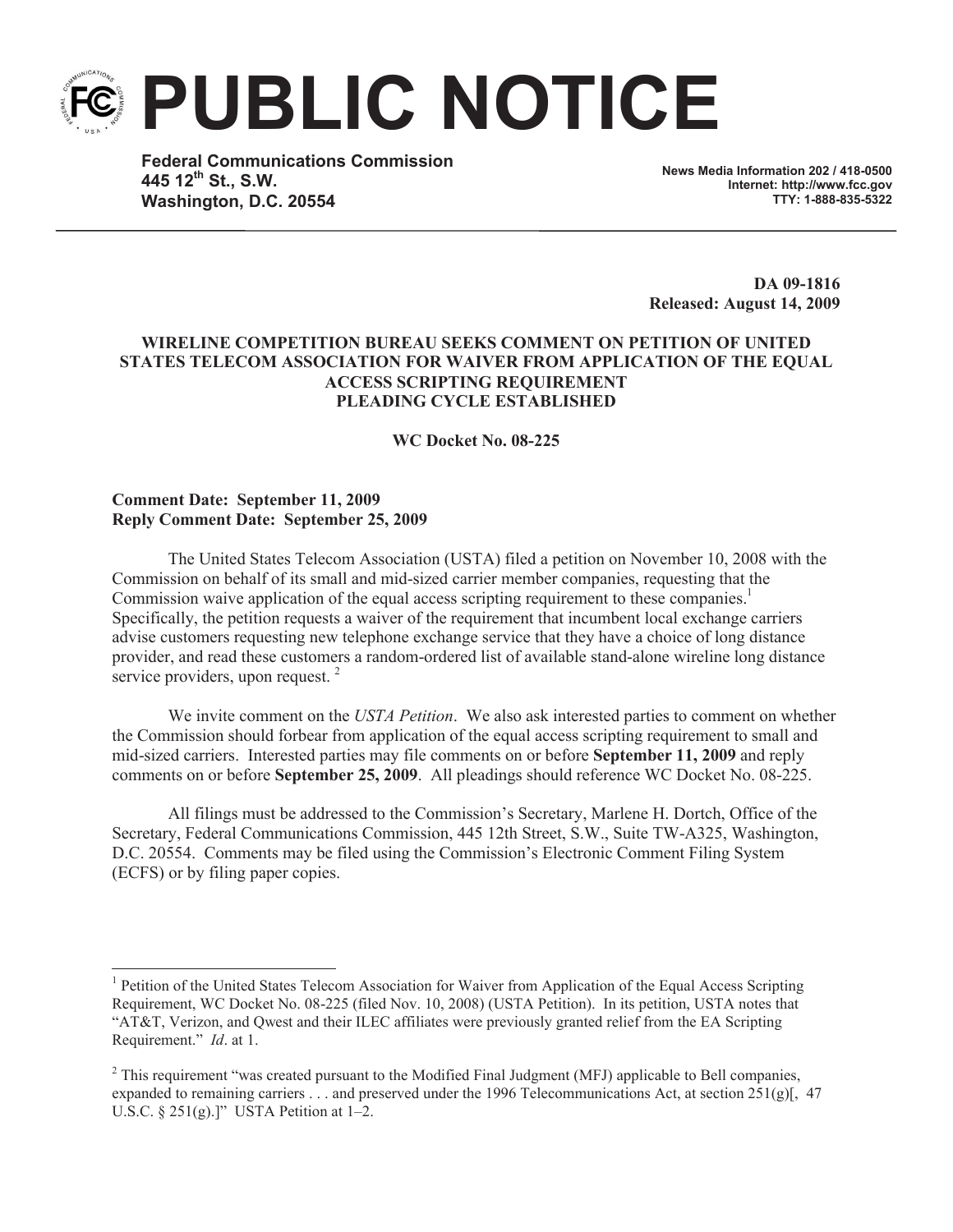**PUBLIC NOTICE**

**Federal Communications Commission 445 12 th St., S.W. Washington, D.C. 20554**

**News Media Information 202 / 418-0500 Internet: http://www.fcc.gov TTY: 1-888-835-5322**

**DA 09-1816 Released: August 14, 2009**

## **WIRELINE COMPETITION BUREAU SEEKS COMMENT ON PETITION OF UNITED STATES TELECOM ASSOCIATION FOR WAIVER FROM APPLICATION OF THE EQUAL ACCESS SCRIPTING REQUIREMENT PLEADING CYCLE ESTABLISHED**

**WC Docket No. 08-225**

## **Comment Date: September 11, 2009 Reply Comment Date: September 25, 2009**

The United States Telecom Association (USTA) filed a petition on November 10, 2008 with the Commission on behalf of its small and mid-sized carrier member companies, requesting that the Commission waive application of the equal access scripting requirement to these companies.<sup>1</sup> Specifically, the petition requests a waiver of the requirement that incumbent local exchange carriers advise customers requesting new telephone exchange service that they have a choice of long distance provider, and read these customers a random-ordered list of available stand-alone wireline long distance service providers, upon request.<sup>2</sup>

We invite comment on the *USTA Petition*. We also ask interested parties to comment on whether the Commission should forbear from application of the equal access scripting requirement to small and mid-sized carriers. Interested parties may file comments on or before **September 11, 2009** and reply comments on or before **September 25, 2009**. All pleadings should reference WC Docket No. 08-225.

All filings must be addressed to the Commission's Secretary, Marlene H. Dortch, Office of the Secretary, Federal Communications Commission, 445 12th Street, S.W., Suite TW-A325, Washington, D.C. 20554. Comments may be filed using the Commission's Electronic Comment Filing System (ECFS) or by filing paper copies.

<sup>&</sup>lt;sup>1</sup> Petition of the United States Telecom Association for Waiver from Application of the Equal Access Scripting Requirement, WC Docket No. 08-225 (filed Nov. 10, 2008) (USTA Petition). In its petition, USTA notes that "AT&T, Verizon, and Qwest and their ILEC affiliates were previously granted relief from the EA Scripting Requirement." *Id*. at 1.

<sup>&</sup>lt;sup>2</sup> This requirement "was created pursuant to the Modified Final Judgment (MFJ) applicable to Bell companies, expanded to remaining carriers . . . and preserved under the 1996 Telecommunications Act, at section  $251(g)$ [, 47] U.S.C.  $\S 251(g)$ .]" USTA Petition at 1-2.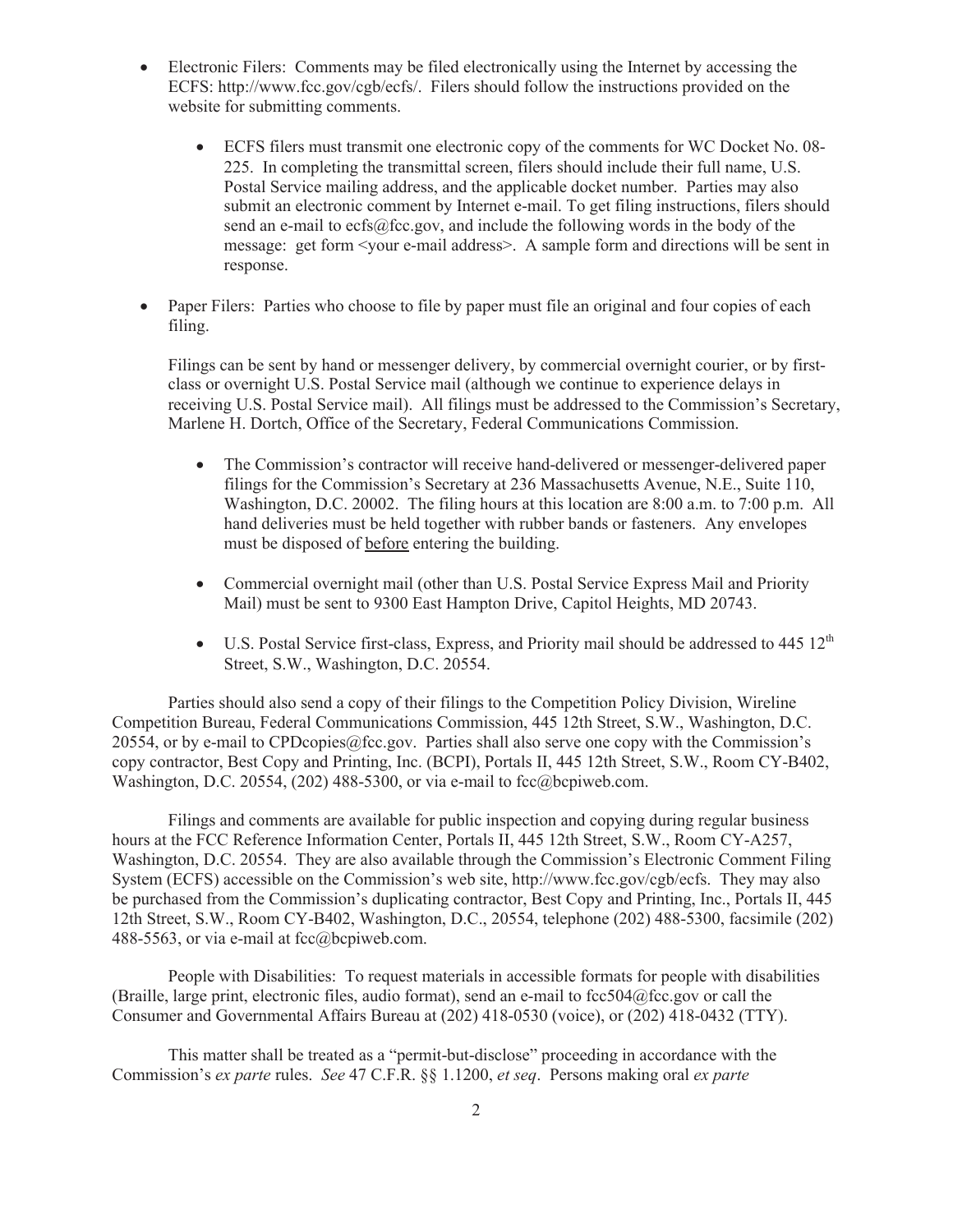- Electronic Filers: Comments may be filed electronically using the Internet by accessing the ECFS: http://www.fcc.gov/cgb/ecfs/. Filers should follow the instructions provided on the website for submitting comments.
	- · ECFS filers must transmit one electronic copy of the comments for WC Docket No. 08- 225. In completing the transmittal screen, filers should include their full name, U.S. Postal Service mailing address, and the applicable docket number. Parties may also submit an electronic comment by Internet e-mail. To get filing instructions, filers should send an e-mail to ecfs@fcc.gov, and include the following words in the body of the message: get form <your e-mail address>. A sample form and directions will be sent in response.
- Paper Filers: Parties who choose to file by paper must file an original and four copies of each filing.

Filings can be sent by hand or messenger delivery, by commercial overnight courier, or by firstclass or overnight U.S. Postal Service mail (although we continue to experience delays in receiving U.S. Postal Service mail). All filings must be addressed to the Commission's Secretary, Marlene H. Dortch, Office of the Secretary, Federal Communications Commission.

- The Commission's contractor will receive hand-delivered or messenger-delivered paper filings for the Commission's Secretary at 236 Massachusetts Avenue, N.E., Suite 110, Washington, D.C. 20002. The filing hours at this location are 8:00 a.m. to 7:00 p.m. All hand deliveries must be held together with rubber bands or fasteners. Any envelopes must be disposed of before entering the building.
- · Commercial overnight mail (other than U.S. Postal Service Express Mail and Priority Mail) must be sent to 9300 East Hampton Drive, Capitol Heights, MD 20743.
- U.S. Postal Service first-class, Express, and Priority mail should be addressed to  $445 \frac{12^{th}}{125}$ Street, S.W., Washington, D.C. 20554.

Parties should also send a copy of their filings to the Competition Policy Division, Wireline Competition Bureau, Federal Communications Commission, 445 12th Street, S.W., Washington, D.C. 20554, or by e-mail to CPDcopies  $@$  fcc.gov. Parties shall also serve one copy with the Commission's copy contractor, Best Copy and Printing, Inc. (BCPI), Portals II, 445 12th Street, S.W., Room CY-B402, Washington, D.C. 20554, (202) 488-5300, or via e-mail to fcc@bcpiweb.com.

Filings and comments are available for public inspection and copying during regular business hours at the FCC Reference Information Center, Portals II, 445 12th Street, S.W., Room CY-A257, Washington, D.C. 20554. They are also available through the Commission's Electronic Comment Filing System (ECFS) accessible on the Commission's web site, http://www.fcc.gov/cgb/ecfs. They may also be purchased from the Commission's duplicating contractor, Best Copy and Printing, Inc., Portals II, 445 12th Street, S.W., Room CY-B402, Washington, D.C., 20554, telephone (202) 488-5300, facsimile (202) 488-5563, or via e-mail at fcc@bcpiweb.com.

People with Disabilities: To request materials in accessible formats for people with disabilities (Braille, large print, electronic files, audio format), send an e-mail to fcc504@fcc.gov or call the Consumer and Governmental Affairs Bureau at (202) 418-0530 (voice), or (202) 418-0432 (TTY).

This matter shall be treated as a "permit-but-disclose" proceeding in accordance with the Commission's *ex parte* rules. *See* 47 C.F.R. §§ 1.1200, *et seq*. Persons making oral *ex parte*